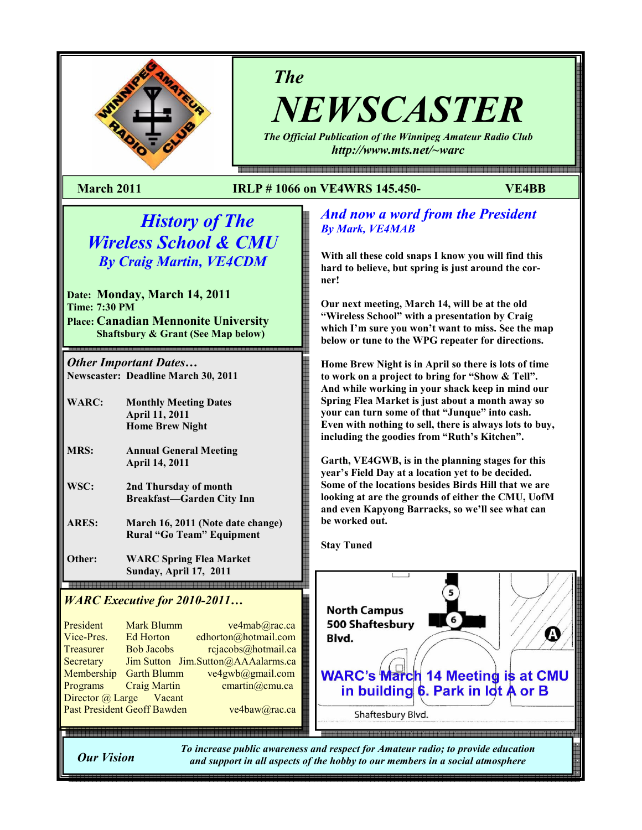

# The

NEWSCASTER The Official Publication of the Winnipeg Amateur Radio Club

http://www.mts.net/~warc

e - 1990 - 1990 - 1990 - 1990 - 1990 - 1990 - 1990 - 1990 - 1990 - 1990 - 1990 - 1990 - 1990 - 1990 - 1990 - 1

### March 2011 IRLP # 1066 on VE4WRS 145.450- VE4BB

# History of The Wireless School & CMU By Craig Martin, VE4CDM

Date: Monday, March 14, 2011 Time: 7:30 PM Place: Canadian Mennonite University Shaftsbury & Grant (See Map below)

Other Important Dates… Newscaster: Deadline March 30, 2011

- WARC: Monthly Meeting Dates April 11, 2011 Home Brew Night
- MRS: Annual General Meeting April 14, 2011
- WSC: 2nd Thursday of month Breakfast—Garden City Inn
- ARES: March 16, 2011 (Note date change) Rural "Go Team" Equipment

Other: WARC Spring Flea Market Sunday, April 17, 2011 

## WARC Executive for 2010-2011...

President Mark Blumm ve4mab@rac.ca<br>Vice-Pres. Ed Horton edhorton@hotmail.com Vice-Pres. Editorion canonome nominal.com<br>Treasurer Bob Jacobs rejacobs@hotmail.ca Treasurer Bob Jacobs reflacobs@notinan.ca<br>Secretary Jim Sutton Jim.Sutton@AAAalarms.ca Secretary Jim Sutton Jim.Sutton@AAAalarms.ca Membership Garth Blumm ve4gwb@gmail.com<br>Desenves Grais Mertin Programs Craig Martin Chartmogenia.cam<br>Director @ Large Vacant Director @ Large Vacant President Mark Blumm ve4mab@rac.ca<br>Vice-Pres Ed Horton edhorton@hotmail.com Programs Craig Martin cmartin a cmartin comu.ca

## And now a word from the President By Mark, VE4MAB

With all these cold snaps I know you will find this hard to believe, but spring is just around the corner!

Our next meeting, March 14, will be at the old "Wireless School" with a presentation by Craig which I'm sure you won't want to miss. See the map below or tune to the WPG repeater for directions.

Home Brew Night is in April so there is lots of time to work on a project to bring for "Show & Tell". And while working in your shack keep in mind our Spring Flea Market is just about a month away so your can turn some of that "Junque" into cash. Even with nothing to sell, there is always lots to buy, including the goodies from "Ruth's Kitchen".

Garth, VE4GWB, is in the planning stages for this year's Field Day at a location yet to be decided. Some of the locations besides Birds Hill that we are looking at are the grounds of either the CMU, UofM and even Kapyong Barracks, so we'll see what can be worked out.

Stay Tuned

Past President Geoff Bawden ve4baw@rac.ca



Our Vision

To increase public awareness and respect for Amateur radio; to provide education and support in all aspects of the hobby to our members in a social atmosphere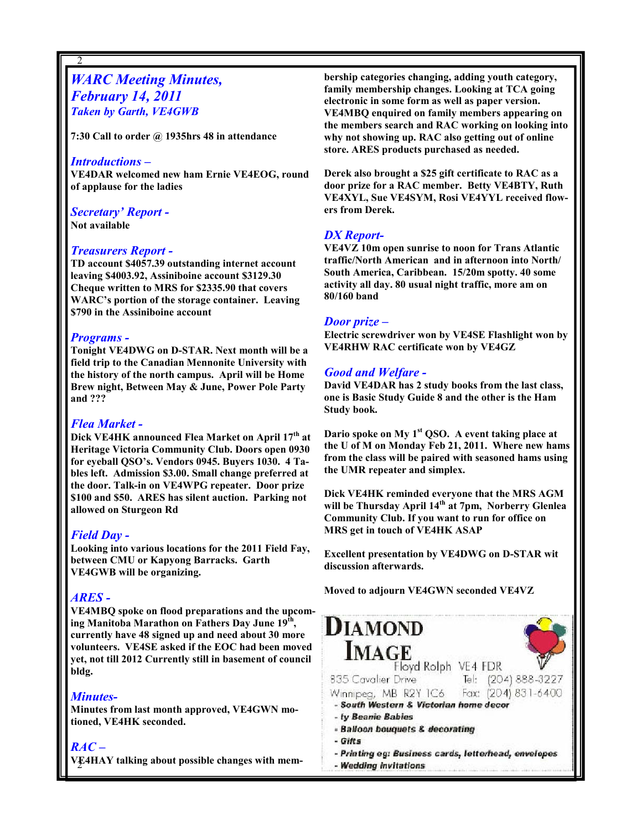## **WARC Meeting Minutes,** February 14, 2011 Taken by Garth, VE4GWB

7:30 Call to order  $\omega$  1935hrs 48 in attendance

#### Introductions –

2

VE4DAR welcomed new ham Ernie VE4EOG, round of applause for the ladies

## Secretary' Report -

Not available

#### Treasurers Report -

TD account \$4057.39 outstanding internet account leaving \$4003.92, Assiniboine account \$3129.30 Cheque written to MRS for \$2335.90 that covers WARC's portion of the storage container. Leaving \$790 in the Assiniboine account

#### Programs -

Tonight VE4DWG on D-STAR. Next month will be a field trip to the Canadian Mennonite University with the history of the north campus. April will be Home Brew night, Between May & June, Power Pole Party and ???

### Flea Market -

Dick VE4HK announced Flea Market on April 17<sup>th</sup> at Heritage Victoria Community Club. Doors open 0930 for eyeball QSO's. Vendors 0945. Buyers 1030. 4 Tables left. Admission \$3.00. Small change preferred at the door. Talk-in on VE4WPG repeater. Door prize \$100 and \$50. ARES has silent auction. Parking not allowed on Sturgeon Rd

### Field Day -

Looking into various locations for the 2011 Field Fay, between CMU or Kapyong Barracks. Garth VE4GWB will be organizing.

#### ARES -

VE4MBQ spoke on flood preparations and the upcoming Manitoba Marathon on Fathers Day June  $19^{\text{th}}$ , currently have 48 signed up and need about 30 more volunteers. VE4SE asked if the EOC had been moved yet, not till 2012 Currently still in basement of council bldg.

#### Minutes-

Minutes from last month approved, VE4GWN motioned, VE4HK seconded.

#### RAC –

2 VE4HAY talking about possible changes with mem-

bership categories changing, adding youth category, family membership changes. Looking at TCA going electronic in some form as well as paper version. VE4MBQ enquired on family members appearing on the members search and RAC working on looking into why not showing up. RAC also getting out of online store. ARES products purchased as needed.

Derek also brought a \$25 gift certificate to RAC as a door prize for a RAC member. Betty VE4BTY, Ruth VE4XYL, Sue VE4SYM, Rosi VE4YYL received flowers from Derek.

### DX Report-

VE4VZ 10m open sunrise to noon for Trans Atlantic traffic/North American and in afternoon into North/ South America, Caribbean. 15/20m spotty. 40 some activity all day. 80 usual night traffic, more am on 80/160 band

#### Door prize –

Electric screwdriver won by VE4SE Flashlight won by VE4RHW RAC certificate won by VE4GZ

#### Good and Welfare -

David VE4DAR has 2 study books from the last class, one is Basic Study Guide 8 and the other is the Ham Study book.

Dario spoke on My  $1<sup>st</sup>$  QSO. A event taking place at the U of M on Monday Feb 21, 2011. Where new hams from the class will be paired with seasoned hams using the UMR repeater and simplex.

Dick VE4HK reminded everyone that the MRS AGM will be Thursday April 14<sup>th</sup> at 7pm, Norberry Glenlea Community Club. If you want to run for office on MRS get in touch of VE4HK ASAP

Excellent presentation by VE4DWG on D-STAR wit discussion afterwards.

Moved to adjourn VE4GWN seconded VE4VZ

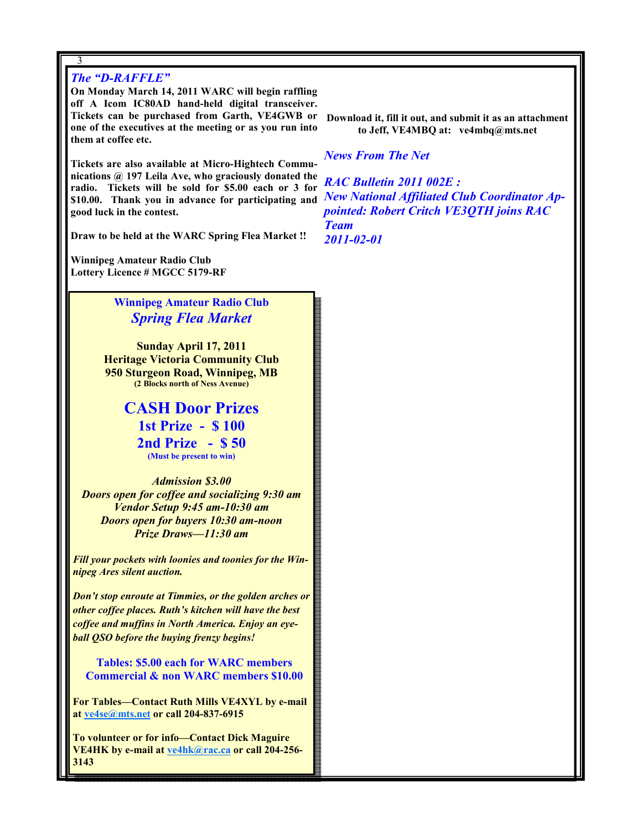### The "D-RAFFLE"

3

On Monday March 14, 2011 WARC will begin raffling off A Icom IC80AD hand-held digital transceiver. Tickets can be purchased from Garth, VE4GWB or one of the executives at the meeting or as you run into them at coffee etc.

Tickets are also available at Micro-Hightech Communications @ 197 Leila Ave, who graciously donated the radio. Tickets will be sold for \$5.00 each or 3 for **S10.00.** Thank you in advance for participating and *New National Affiliated Club Coordinator Ap*good luck in the contest.

Draw to be held at the WARC Spring Flea Market !!

Winnipeg Amateur Radio Club Lottery Licence # MGCC 5179-RF

> Winnipeg Amateur Radio Club Spring Flea Market

Sunday April 17, 2011 Heritage Victoria Community Club 950 Sturgeon Road, Winnipeg, MB (2 Blocks north of Ness Avenue)

> CASH Door Prizes 1st Prize - \$ 100 2nd Prize - \$ 50 (Must be present to win)

Admission \$3.00 Doors open for coffee and socializing 9:30 am Vendor Setup 9:45 am-10:30 am Doors open for buyers 10:30 am-noon Prize Draws—11:30 am

Fill your pockets with loonies and toonies for the Winnipeg Ares silent auction.

Don't stop enroute at Timmies, or the golden arches or other coffee places. Ruth's kitchen will have the best coffee and muffins in North America. Enjoy an eyeball QSO before the buying frenzy begins!

 Tables: \$5.00 each for WARC members Commercial & non WARC members \$10.00

For Tables—Contact Ruth Mills VE4XYL by e-mail at ve4se@mts.net or call 204-837-6915

3 3143 To volunteer or for info—Contact Dick Maguire VE4HK by e-mail at ve4hk@rac.ca or call 204-256Download it, fill it out, and submit it as an attachment to Jeff, VE4MBQ at: ve4mbq@mts.net

News From The Net

RAC Bulletin 2011 002E : pointed: Robert Critch VE3QTH joins RAC Team 2011-02-01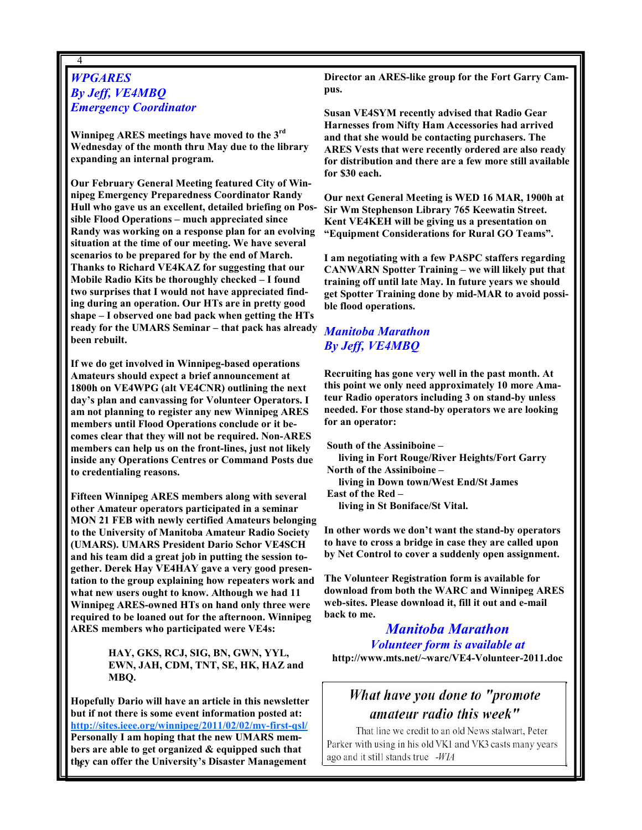### **WPGARES** By Jeff, VE4MBQ Emergency Coordinator

4

Winnipeg ARES meetings have moved to the  $3<sup>rd</sup>$ Wednesday of the month thru May due to the library expanding an internal program.

Our February General Meeting featured City of Winnipeg Emergency Preparedness Coordinator Randy Hull who gave us an excellent, detailed briefing on Possible Flood Operations – much appreciated since Randy was working on a response plan for an evolving situation at the time of our meeting. We have several scenarios to be prepared for by the end of March. Thanks to Richard VE4KAZ for suggesting that our Mobile Radio Kits be thoroughly checked – I found two surprises that I would not have appreciated finding during an operation. Our HTs are in pretty good shape – I observed one bad pack when getting the HTs ready for the UMARS Seminar – that pack has already been rebuilt.

If we do get involved in Winnipeg-based operations Amateurs should expect a brief announcement at 1800h on VE4WPG (alt VE4CNR) outlining the next day's plan and canvassing for Volunteer Operators. I am not planning to register any new Winnipeg ARES members until Flood Operations conclude or it becomes clear that they will not be required. Non-ARES members can help us on the front-lines, just not likely inside any Operations Centres or Command Posts due to credentialing reasons.

Fifteen Winnipeg ARES members along with several other Amateur operators participated in a seminar MON 21 FEB with newly certified Amateurs belonging to the University of Manitoba Amateur Radio Society (UMARS). UMARS President Dario Schor VE4SCH and his team did a great job in putting the session together. Derek Hay VE4HAY gave a very good presentation to the group explaining how repeaters work and what new users ought to know. Although we had 11 Winnipeg ARES-owned HTs on hand only three were required to be loaned out for the afternoon. Winnipeg ARES members who participated were VE4s:

> HAY, GKS, RCJ, SIG, BN, GWN, YYL, EWN, JAH, CDM, TNT, SE, HK, HAZ and MBQ.

4 they can offer the University's Disaster Management Hopefully Dario will have an article in this newsletter but if not there is some event information posted at: http://sites.ieee.org/winnipeg/2011/02/02/my-first-qsl/ Personally I am hoping that the new UMARS members are able to get organized & equipped such that

Director an ARES-like group for the Fort Garry Campus.

Susan VE4SYM recently advised that Radio Gear Harnesses from Nifty Ham Accessories had arrived and that she would be contacting purchasers. The ARES Vests that were recently ordered are also ready for distribution and there are a few more still available for \$30 each.

Our next General Meeting is WED 16 MAR, 1900h at Sir Wm Stephenson Library 765 Keewatin Street. Kent VE4KEH will be giving us a presentation on "Equipment Considerations for Rural GO Teams".

I am negotiating with a few PASPC staffers regarding CANWARN Spotter Training – we will likely put that training off until late May. In future years we should get Spotter Training done by mid-MAR to avoid possible flood operations.

### Manitoba Marathon By Jeff, VE4MBQ

Recruiting has gone very well in the past month. At this point we only need approximately 10 more Amateur Radio operators including 3 on stand-by unless needed. For those stand-by operators we are looking for an operator:

South of the Assiniboine – living in Fort Rouge/River Heights/Fort Garry North of the Assiniboine – living in Down town/West End/St James East of the Red – living in St Boniface/St Vital.

In other words we don't want the stand-by operators to have to cross a bridge in case they are called upon by Net Control to cover a suddenly open assignment.

The Volunteer Registration form is available for download from both the WARC and Winnipeg ARES web-sites. Please download it, fill it out and e-mail back to me.

Manitoba Marathon Volunteer form is available at http://www.mts.net/~warc/VE4-Volunteer-2011.doc

# What have you done to "promote amateur radio this week"

That line we credit to an old News stalwart, Peter Parker with using in his old VK1 and VK3 casts many years ago and it still stands true -WIA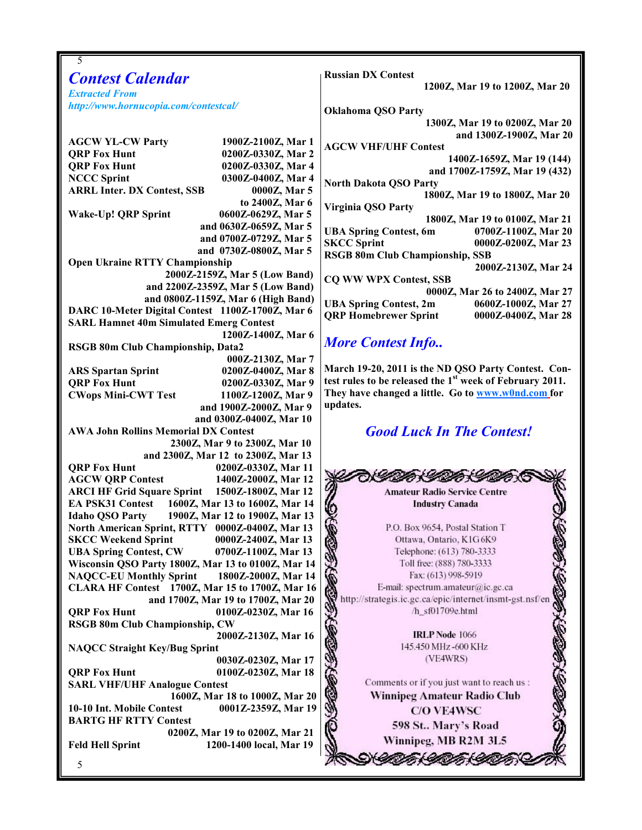| 5                                                                                     |                                                                     |
|---------------------------------------------------------------------------------------|---------------------------------------------------------------------|
| <b>Contest Calendar</b>                                                               | <b>Russian DX Contest</b>                                           |
|                                                                                       | 1200Z, Mar 19 to 1200Z, Mar 20                                      |
| <b>Extracted From</b><br>http://www.hornucopia.com/contestcal/                        |                                                                     |
|                                                                                       | <b>Oklahoma QSO Party</b>                                           |
|                                                                                       | 1300Z, Mar 19 to 0200Z, Mar 20                                      |
| <b>AGCW YL-CW Party</b><br>1900Z-2100Z, Mar 1                                         | and 1300Z-1900Z, Mar 20                                             |
| 0200Z-0330Z, Mar 2<br><b>QRP Fox Hunt</b>                                             | <b>AGCW VHF/UHF Contest</b>                                         |
| <b>QRP Fox Hunt</b><br>0200Z-0330Z, Mar 4                                             | 1400Z-1659Z, Mar 19 (144)                                           |
| 0300Z-0400Z, Mar 4<br><b>NCCC Sprint</b>                                              | and 1700Z-1759Z, Mar 19 (432)                                       |
| <b>ARRL Inter. DX Contest, SSB</b><br>0000Z, Mar 5                                    | <b>North Dakota QSO Party</b>                                       |
| to 2400Z, Mar 6                                                                       | 1800Z, Mar 19 to 1800Z, Mar 20<br><b>Virginia QSO Party</b>         |
| Wake-Up! QRP Sprint<br>0600Z-0629Z, Mar 5                                             | 1800Z, Mar 19 to 0100Z, Mar 21                                      |
| and 0630Z-0659Z, Mar 5                                                                | <b>UBA Spring Contest, 6m</b><br>0700Z-1100Z, Mar 20                |
| and 0700Z-0729Z, Mar 5                                                                | <b>SKCC Sprint</b><br>0000Z-0200Z, Mar 23                           |
| and 0730Z-0800Z, Mar 5                                                                | <b>RSGB 80m Club Championship, SSB</b>                              |
| <b>Open Ukraine RTTY Championship</b>                                                 | 2000Z-2130Z, Mar 24                                                 |
| 2000Z-2159Z, Mar 5 (Low Band)                                                         | <b>CQ WW WPX Contest, SSB</b>                                       |
| and 2200Z-2359Z, Mar 5 (Low Band)                                                     | 0000Z, Mar 26 to 2400Z, Mar 27                                      |
| and 0800Z-1159Z, Mar 6 (High Band)                                                    | <b>UBA Spring Contest, 2m</b><br>0600Z-1000Z, Mar 27                |
| DARC 10-Meter Digital Contest 1100Z-1700Z, Mar 6                                      | <b>QRP Homebrewer Sprint</b><br>0000Z-0400Z, Mar 28                 |
| <b>SARL Hamnet 40m Simulated Emerg Contest</b>                                        |                                                                     |
| 1200Z-1400Z, Mar 6                                                                    | <b>More Contest Info</b>                                            |
| RSGB 80m Club Championship, Data2                                                     |                                                                     |
| 000Z-2130Z, Mar 7<br>0200Z-0400Z, Mar 8                                               | March 19-20, 2011 is the ND QSO Party Contest. Con-                 |
| <b>ARS Spartan Sprint</b><br><b>QRP Fox Hunt</b><br>0200Z-0330Z, Mar 9                | test rules to be released the $1st$ week of February 2011.          |
| <b>CWops Mini-CWT Test</b><br>1100Z-1200Z, Mar 9                                      | They have changed a little. Go to www.w0nd.com for                  |
| and 1900Z-2000Z, Mar 9                                                                | updates.                                                            |
| and 0300Z-0400Z, Mar 10                                                               |                                                                     |
| <b>AWA John Rollins Memorial DX Contest</b>                                           | <b>Good Luck In The Contest!</b>                                    |
| 2300Z, Mar 9 to 2300Z, Mar 10                                                         |                                                                     |
| and 2300Z, Mar 12 to 2300Z, Mar 13                                                    |                                                                     |
| 0200Z-0330Z, Mar 11<br><b>QRP Fox Hunt</b>                                            |                                                                     |
| <b>AGCW QRP Contest</b><br>1400Z-2000Z, Mar 12                                        | DE CARE CARE                                                        |
| <b>ARCI HF Grid Square Sprint</b><br>1500Z-1800Z, Mar 12                              | <b>Amateur Radio Service Centre</b>                                 |
| <b>EA PSK31 Contest</b><br>1600Z, Mar 13 to 1600Z, Mar 14                             | <b>Industry Canada</b>                                              |
| 1900Z, Mar 12 to 1900Z, Mar 13<br><b>Idaho QSO Party</b>                              | ó                                                                   |
| North American Sprint, RTTY 0000Z-0400Z, Mar 13                                       | P.O. Box 9654, Postal Station T                                     |
| <b>SKCC Weekend Sprint</b><br>0000Z-2400Z, Mar 13                                     | Ottawa, Ontario, K1G6K9                                             |
| <b>UBA Spring Contest, CW</b><br>0700Z-1100Z, Mar 13                                  | Telephone: (613) 780-3333                                           |
| Wisconsin QSO Party 1800Z, Mar 13 to 0100Z, Mar 14                                    | Toll free: (888) 780-3333                                           |
| <b>NAQCC-EU Monthly Sprint</b><br>1800Z-2000Z, Mar 14                                 | こうきんこうか<br>Fax: (613) 998-5919<br>E-mail: spectrum.amateur@ic.gc.ca |
| CLARA HF Contest 1700Z, Mar 15 to 1700Z, Mar 16<br>and 1700Z, Mar 19 to 1700Z, Mar 20 | http://strategis.ic.gc.ca/epic/internet/insmt-gst.nsf/en            |
| <b>QRP Fox Hunt</b><br>0100Z-0230Z, Mar 16                                            | /h_sf01709e.html                                                    |
| RSGB 80m Club Championship, CW                                                        |                                                                     |
| 2000Z-2130Z, Mar 16                                                                   | <b>IRLP</b> Node 1066                                               |
| <b>NAQCC Straight Key/Bug Sprint</b>                                                  | 145.450 MHz -600 KHz                                                |
| 0030Z-0230Z, Mar 17                                                                   | (VE4WRS)                                                            |
| <b>QRP Fox Hunt</b><br>0100Z-0230Z, Mar 18                                            |                                                                     |
| <b>SARL VHF/UHF Analogue Contest</b>                                                  | Comments or if you just want to reach us :                          |
| 1600Z, Mar 18 to 1000Z, Mar 20                                                        | 2000000000<br>Winnipeg Amateur Radio Club                           |
| 0001Z-2359Z, Mar 19<br>10-10 Int. Mobile Contest                                      | <b>C/O VE4WSC</b>                                                   |
| <b>BARTG HF RTTY Contest</b>                                                          | 598 St Mary's Road                                                  |
| 0200Z, Mar 19 to 0200Z, Mar 21                                                        |                                                                     |
| 1200-1400 local, Mar 19<br><b>Feld Hell Sprint</b>                                    | Winnipeg, MB R2M 3L5                                                |
| 5                                                                                     |                                                                     |
|                                                                                       |                                                                     |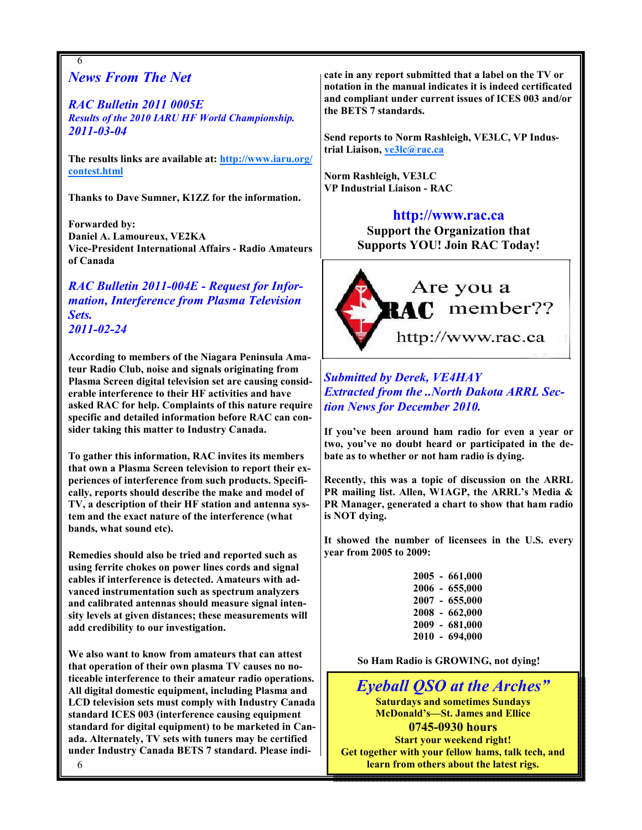## News From The Net

6

RAC Bulletin 2011 0005E Results of the 2010 IARU HF World Championship. 2011-03-04

The results links are available at: http://www.iaru.org/ contest.html

Thanks to Dave Sumner, K1ZZ for the information.

Forwarded by: Daniel A. Lamoureux, VE2KA Vice-President International Affairs - Radio Amateurs of Canada

### RAC Bulletin 2011-004E - Request for Information, Interference from Plasma Television Sets. 2011-02-24

According to members of the Niagara Peninsula Amateur Radio Club, noise and signals originating from Plasma Screen digital television set are causing considerable interference to their HF activities and have asked RAC for help. Complaints of this nature require specific and detailed information before RAC can consider taking this matter to Industry Canada.

To gather this information, RAC invites its members that own a Plasma Screen television to report their experiences of interference from such products. Specifically, reports should describe the make and model of TV, a description of their HF station and antenna system and the exact nature of the interference (what bands, what sound etc).

Remedies should also be tried and reported such as using ferrite chokes on power lines cords and signal cables if interference is detected. Amateurs with advanced instrumentation such as spectrum analyzers and calibrated antennas should measure signal intensity levels at given distances; these measurements will add credibility to our investigation.

We also want to know from amateurs that can attest that operation of their own plasma TV causes no noticeable interference to their amateur radio operations. All digital domestic equipment, including Plasma and LCD television sets must comply with Industry Canada standard ICES 003 (interference causing equipment standard for digital equipment) to be marketed in Canada. Alternately, TV sets with tuners may be certified under Industry Canada BETS 7 standard. Please indi-

6

cate in any report submitted that a label on the TV or notation in the manual indicates it is indeed certificated and compliant under current issues of ICES 003 and/or the BETS 7 standards.

Send reports to Norm Rashleigh, VE3LC, VP Industrial Liaison, ve3lc@rac.ca

Norm Rashleigh, VE3LC VP Industrial Liaison - RAC

### http://www.rac.ca

Support the Organization that Supports YOU! Join RAC Today!



Submitted by Derek, VE4HAY Extracted from the ..North Dakota ARRL Section News for December 2010.

If you've been around ham radio for even a year or two, you've no doubt heard or participated in the debate as to whether or not ham radio is dying.

Recently, this was a topic of discussion on the ARRL PR mailing list. Allen, W1AGP, the ARRL's Media & PR Manager, generated a chart to show that ham radio is NOT dying.

It showed the number of licensees in the U.S. every year from 2005 to 2009:

> 2005 - 661,000 2006 - 655,000 2007 - 655,000 2008 - 662,000 2009 - 681,000 2010 - 694,000

So Ham Radio is GROWING, not dying!

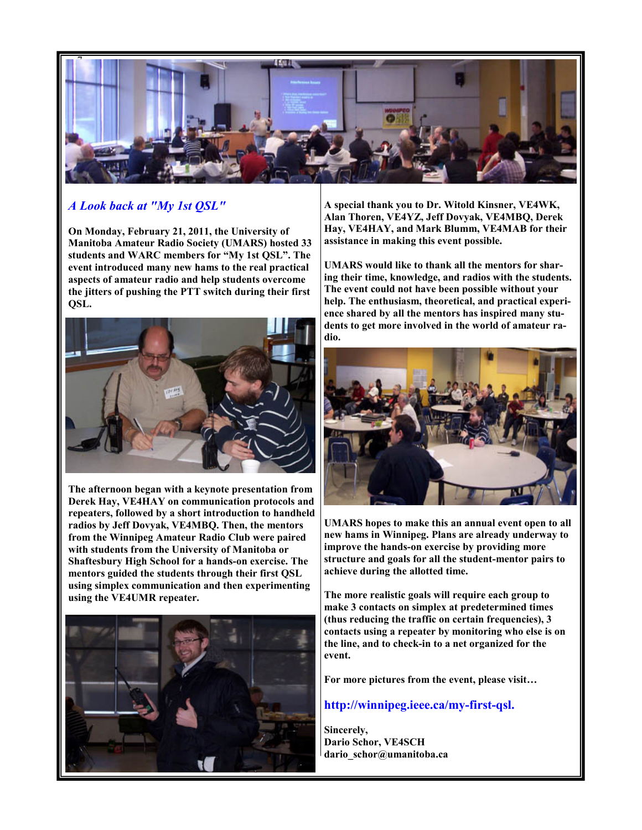

### A Look back at "My 1st QSL"

On Monday, February 21, 2011, the University of Manitoba Amateur Radio Society (UMARS) hosted 33 students and WARC members for "My 1st QSL". The event introduced many new hams to the real practical aspects of amateur radio and help students overcome the jitters of pushing the PTT switch during their first QSL.



The afternoon began with a keynote presentation from Derek Hay, VE4HAY on communication protocols and repeaters, followed by a short introduction to handheld radios by Jeff Dovyak, VE4MBQ. Then, the mentors from the Winnipeg Amateur Radio Club were paired with students from the University of Manitoba or Shaftesbury High School for a hands-on exercise. The mentors guided the students through their first QSL using simplex communication and then experimenting using the VE4UMR repeater.



A special thank you to Dr. Witold Kinsner, VE4WK, Alan Thoren, VE4YZ, Jeff Dovyak, VE4MBQ, Derek Hay, VE4HAY, and Mark Blumm, VE4MAB for their assistance in making this event possible.

UMARS would like to thank all the mentors for sharing their time, knowledge, and radios with the students. The event could not have been possible without your help. The enthusiasm, theoretical, and practical experience shared by all the mentors has inspired many students to get more involved in the world of amateur radio.



UMARS hopes to make this an annual event open to all new hams in Winnipeg. Plans are already underway to improve the hands-on exercise by providing more structure and goals for all the student-mentor pairs to achieve during the allotted time.

The more realistic goals will require each group to make 3 contacts on simplex at predetermined times (thus reducing the traffic on certain frequencies), 3 contacts using a repeater by monitoring who else is on the line, and to check-in to a net organized for the event.

For more pictures from the event, please visit…

#### http://winnipeg.ieee.ca/my-first-qsl.

Sincerely, Dario Schor, VE4SCH dario schor@umanitoba.ca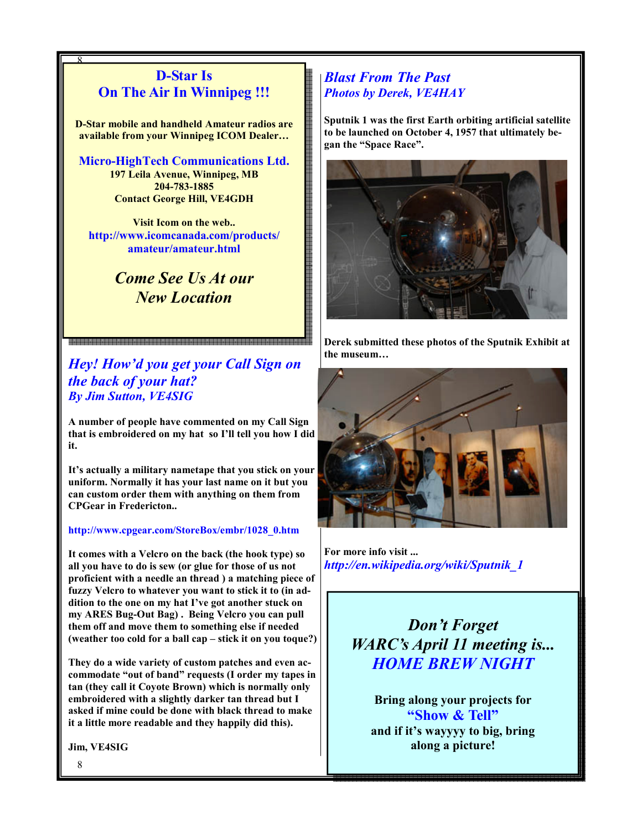## D-Star Is On The Air In Winnipeg !!!

8

D-Star mobile and handheld Amateur radios are available from your Winnipeg ICOM Dealer…

Micro-HighTech Communications Ltd. 197 Leila Avenue, Winnipeg, MB 204-783-1885 Contact George Hill, VE4GDH

Visit Icom on the web.. http://www.icomcanada.com/products/ amateur/amateur.html

# Come See Us At our New Location

Hey! How'd you get your Call Sign on the back of your hat? By Jim Sutton, VE4SIG

A number of people have commented on my Call Sign that is embroidered on my hat so I'll tell you how I did it.

It's actually a military nametape that you stick on your uniform. Normally it has your last name on it but you can custom order them with anything on them from CPGear in Fredericton..

#### http://www.cpgear.com/StoreBox/embr/1028\_0.htm

It comes with a Velcro on the back (the hook type) so all you have to do is sew (or glue for those of us not proficient with a needle an thread ) a matching piece of fuzzy Velcro to whatever you want to stick it to (in addition to the one on my hat I've got another stuck on my ARES Bug-Out Bag) . Being Velcro you can pull them off and move them to something else if needed (weather too cold for a ball cap – stick it on you toque?)

They do a wide variety of custom patches and even accommodate "out of band" requests (I order my tapes in tan (they call it Coyote Brown) which is normally only embroidered with a slightly darker tan thread but I asked if mine could be done with black thread to make it a little more readable and they happily did this).

Jim, VE4SIG

### Blast From The Past Photos by Derek, VE4HAY

Sputnik 1 was the first Earth orbiting artificial satellite to be launched on October 4, 1957 that ultimately began the "Space Race".



Derek submitted these photos of the Sputnik Exhibit at the museum…



For more info visit ... http://en.wikipedia.org/wiki/Sputnik\_1

> Don't Forget WARC's April 11 meeting is... HOME BREW NIGHT

Bring along your projects for "Show & Tell" and if it's wayyyy to big, bring along a picture!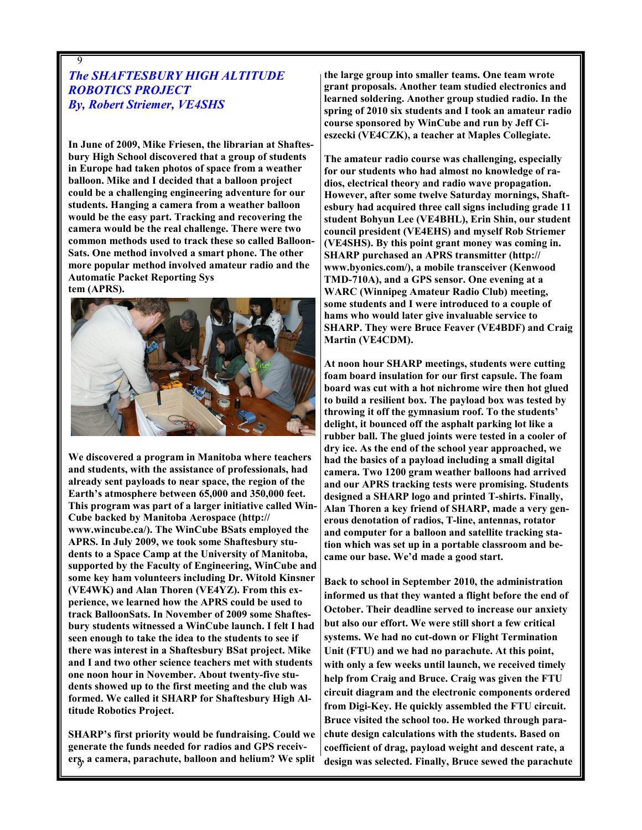### The SHAFTESBURY HIGH ALTITUDE ROBOTICS PROJECT By, Robert Striemer, VE4SHS

9

In June of 2009, Mike Friesen, the librarian at Shaftesbury High School discovered that a group of students in Europe had taken photos of space from a weather balloon. Mike and I decided that a balloon project could be a challenging engineering adventure for our students. Hanging a camera from a weather balloon would be the easy part. Tracking and recovering the camera would be the real challenge. There were two common methods used to track these so called Balloon-Sats. One method involved a smart phone. The other more popular method involved amateur radio and the Automatic Packet Reporting Sys tem (APRS).



We discovered a program in Manitoba where teachers and students, with the assistance of professionals, had already sent payloads to near space, the region of the Earth's atmosphere between 65,000 and 350,000 feet. This program was part of a larger initiative called Win-Cube backed by Manitoba Aerospace (http:// www.wincube.ca/). The WinCube BSats employed the APRS. In July 2009, we took some Shaftesbury students to a Space Camp at the University of Manitoba, supported by the Faculty of Engineering, WinCube and some key ham volunteers including Dr. Witold Kinsner (VE4WK) and Alan Thoren (VE4YZ). From this experience, we learned how the APRS could be used to track BalloonSats. In November of 2009 some Shaftesbury students witnessed a WinCube launch. I felt I had seen enough to take the idea to the students to see if there was interest in a Shaftesbury BSat project. Mike and I and two other science teachers met with students one noon hour in November. About twenty-five students showed up to the first meeting and the club was formed. We called it SHARP for Shaftesbury High Altitude Robotics Project.

er<sub>s</sub>, a camera, parachute, balloon and helium? We split SHARP's first priority would be fundraising. Could we generate the funds needed for radios and GPS receiv-

the large group into smaller teams. One team wrote grant proposals. Another team studied electronics and learned soldering. Another group studied radio. In the spring of 2010 six students and I took an amateur radio course sponsored by WinCube and run by Jeff Cieszecki (VE4CZK), a teacher at Maples Collegiate.

The amateur radio course was challenging, especially for our students who had almost no knowledge of radios, electrical theory and radio wave propagation. However, after some twelve Saturday mornings, Shaftesbury had acquired three call signs including grade 11 student Bohyun Lee (VE4BHL), Erin Shin, our student council president (VE4EHS) and myself Rob Striemer (VE4SHS). By this point grant money was coming in. SHARP purchased an APRS transmitter (http:// www.byonics.com/), a mobile transceiver (Kenwood TMD-710A), and a GPS sensor. One evening at a WARC (Winnipeg Amateur Radio Club) meeting, some students and I were introduced to a couple of hams who would later give invaluable service to SHARP. They were Bruce Feaver (VE4BDF) and Craig Martin (VE4CDM).

At noon hour SHARP meetings, students were cutting foam board insulation for our first capsule. The foam board was cut with a hot nichrome wire then hot glued to build a resilient box. The payload box was tested by throwing it off the gymnasium roof. To the students' delight, it bounced off the asphalt parking lot like a rubber ball. The glued joints were tested in a cooler of dry ice. As the end of the school year approached, we had the basics of a payload including a small digital camera. Two 1200 gram weather balloons had arrived and our APRS tracking tests were promising. Students designed a SHARP logo and printed T-shirts. Finally, Alan Thoren a key friend of SHARP, made a very generous denotation of radios, T-line, antennas, rotator and computer for a balloon and satellite tracking station which was set up in a portable classroom and became our base. We'd made a good start.

Back to school in September 2010, the administration informed us that they wanted a flight before the end of October. Their deadline served to increase our anxiety but also our effort. We were still short a few critical systems. We had no cut-down or Flight Termination Unit (FTU) and we had no parachute. At this point, with only a few weeks until launch, we received timely help from Craig and Bruce. Craig was given the FTU circuit diagram and the electronic components ordered from Digi-Key. He quickly assembled the FTU circuit. Bruce visited the school too. He worked through parachute design calculations with the students. Based on coefficient of drag, payload weight and descent rate, a design was selected. Finally, Bruce sewed the parachute